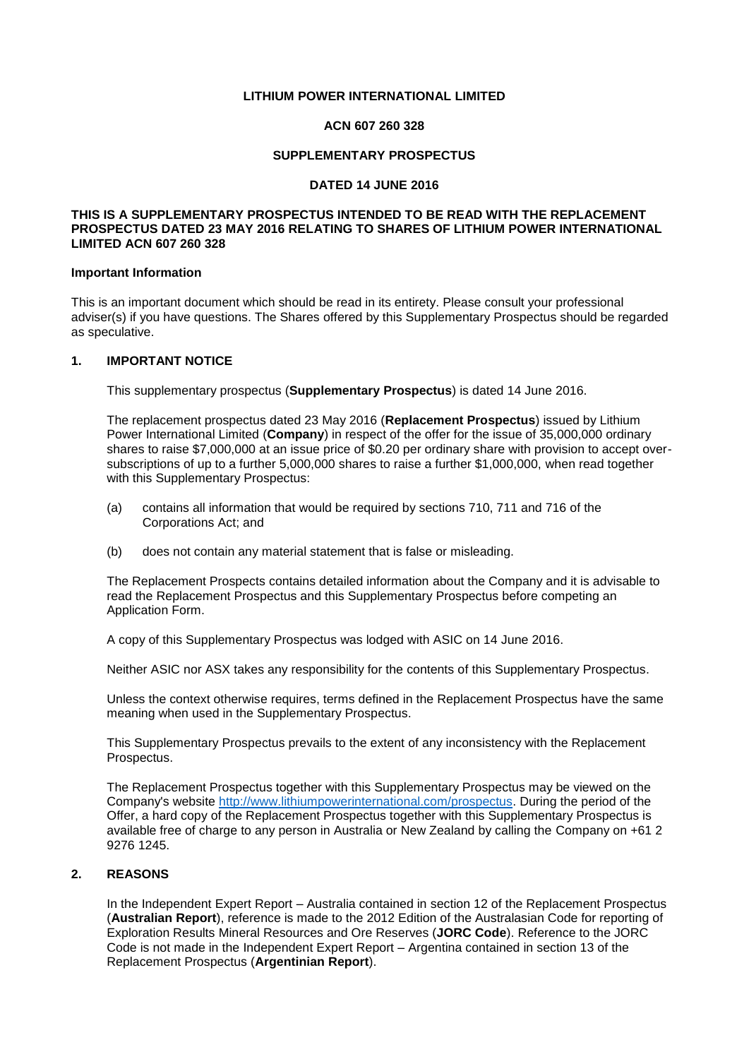#### **LITHIUM POWER INTERNATIONAL LIMITED**

#### **ACN 607 260 328**

#### **SUPPLEMENTARY PROSPECTUS**

#### **DATED 14 JUNE 2016**

#### **THIS IS A SUPPLEMENTARY PROSPECTUS INTENDED TO BE READ WITH THE REPLACEMENT PROSPECTUS DATED 23 MAY 2016 RELATING TO SHARES OF LITHIUM POWER INTERNATIONAL LIMITED ACN 607 260 328**

#### **Important Information**

This is an important document which should be read in its entirety. Please consult your professional adviser(s) if you have questions. The Shares offered by this Supplementary Prospectus should be regarded as speculative.

#### **1. IMPORTANT NOTICE**

This supplementary prospectus (**Supplementary Prospectus**) is dated 14 June 2016.

The replacement prospectus dated 23 May 2016 (**Replacement Prospectus**) issued by Lithium Power International Limited (**Company**) in respect of the offer for the issue of 35,000,000 ordinary shares to raise \$7,000,000 at an issue price of \$0.20 per ordinary share with provision to accept oversubscriptions of up to a further 5,000,000 shares to raise a further \$1,000,000, when read together with this Supplementary Prospectus:

- (a) contains all information that would be required by sections 710, 711 and 716 of the Corporations Act; and
- (b) does not contain any material statement that is false or misleading.

The Replacement Prospects contains detailed information about the Company and it is advisable to read the Replacement Prospectus and this Supplementary Prospectus before competing an Application Form.

A copy of this Supplementary Prospectus was lodged with ASIC on 14 June 2016.

Neither ASIC nor ASX takes any responsibility for the contents of this Supplementary Prospectus.

Unless the context otherwise requires, terms defined in the Replacement Prospectus have the same meaning when used in the Supplementary Prospectus.

This Supplementary Prospectus prevails to the extent of any inconsistency with the Replacement Prospectus.

The Replacement Prospectus together with this Supplementary Prospectus may be viewed on the Company's website [http://www.lithiumpowerinternational.com/prospectus.](http://www.lithiumpowerinternational.com/prospectus) During the period of the Offer, a hard copy of the Replacement Prospectus together with this Supplementary Prospectus is available free of charge to any person in Australia or New Zealand by calling the Company on +61 2 9276 1245.

#### **2. REASONS**

In the Independent Expert Report – Australia contained in section 12 of the Replacement Prospectus (**Australian Report**), reference is made to the 2012 Edition of the Australasian Code for reporting of Exploration Results Mineral Resources and Ore Reserves (**JORC Code**). Reference to the JORC Code is not made in the Independent Expert Report – Argentina contained in section 13 of the Replacement Prospectus (**Argentinian Report**).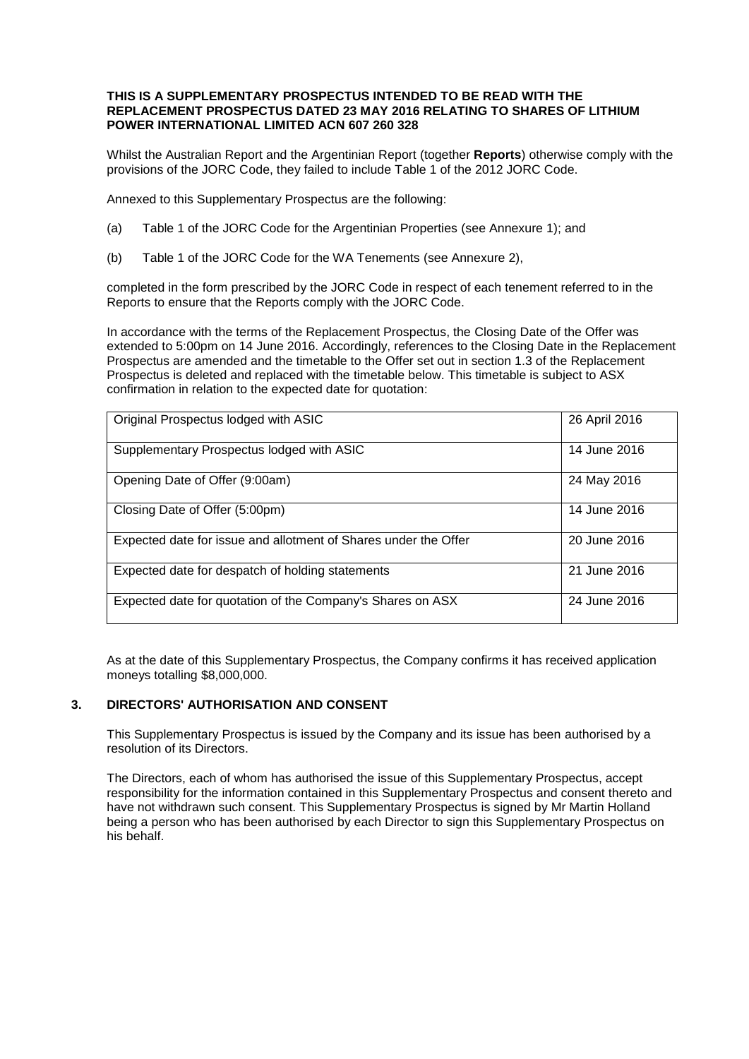#### **THIS IS A SUPPLEMENTARY PROSPECTUS INTENDED TO BE READ WITH THE REPLACEMENT PROSPECTUS DATED 23 MAY 2016 RELATING TO SHARES OF LITHIUM POWER INTERNATIONAL LIMITED ACN 607 260 328**

Whilst the Australian Report and the Argentinian Report (together **Reports**) otherwise comply with the provisions of the JORC Code, they failed to include Table 1 of the 2012 JORC Code.

Annexed to this Supplementary Prospectus are the following:

- (a) Table 1 of the JORC Code for the Argentinian Properties (see Annexure 1); and
- (b) Table 1 of the JORC Code for the WA Tenements (see Annexure 2),

completed in the form prescribed by the JORC Code in respect of each tenement referred to in the Reports to ensure that the Reports comply with the JORC Code.

In accordance with the terms of the Replacement Prospectus, the Closing Date of the Offer was extended to 5:00pm on 14 June 2016. Accordingly, references to the Closing Date in the Replacement Prospectus are amended and the timetable to the Offer set out in section 1.3 of the Replacement Prospectus is deleted and replaced with the timetable below. This timetable is subject to ASX confirmation in relation to the expected date for quotation:

| Original Prospectus lodged with ASIC                            | 26 April 2016 |
|-----------------------------------------------------------------|---------------|
| Supplementary Prospectus lodged with ASIC                       | 14 June 2016  |
| Opening Date of Offer (9:00am)                                  | 24 May 2016   |
| Closing Date of Offer (5:00pm)                                  | 14 June 2016  |
| Expected date for issue and allotment of Shares under the Offer | 20 June 2016  |
| Expected date for despatch of holding statements                | 21 June 2016  |
| Expected date for quotation of the Company's Shares on ASX      | 24 June 2016  |

As at the date of this Supplementary Prospectus, the Company confirms it has received application moneys totalling \$8,000,000.

#### **3. DIRECTORS' AUTHORISATION AND CONSENT**

This Supplementary Prospectus is issued by the Company and its issue has been authorised by a resolution of its Directors.

The Directors, each of whom has authorised the issue of this Supplementary Prospectus, accept responsibility for the information contained in this Supplementary Prospectus and consent thereto and have not withdrawn such consent. This Supplementary Prospectus is signed by Mr Martin Holland being a person who has been authorised by each Director to sign this Supplementary Prospectus on his behalf.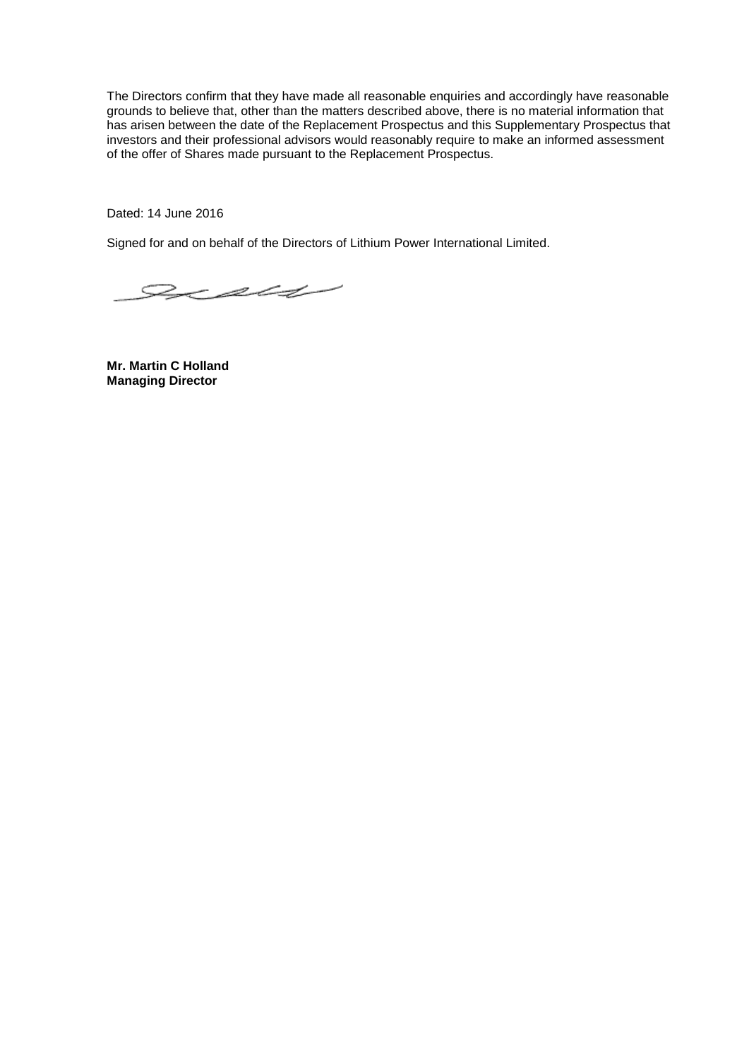The Directors confirm that they have made all reasonable enquiries and accordingly have reasonable grounds to believe that, other than the matters described above, there is no material information that has arisen between the date of the Replacement Prospectus and this Supplementary Prospectus that investors and their professional advisors would reasonably require to make an informed assessment of the offer of Shares made pursuant to the Replacement Prospectus.

Dated: 14 June 2016

Signed for and on behalf of the Directors of Lithium Power International Limited.

 $z$ 

**Mr. Martin C Holland Managing Director**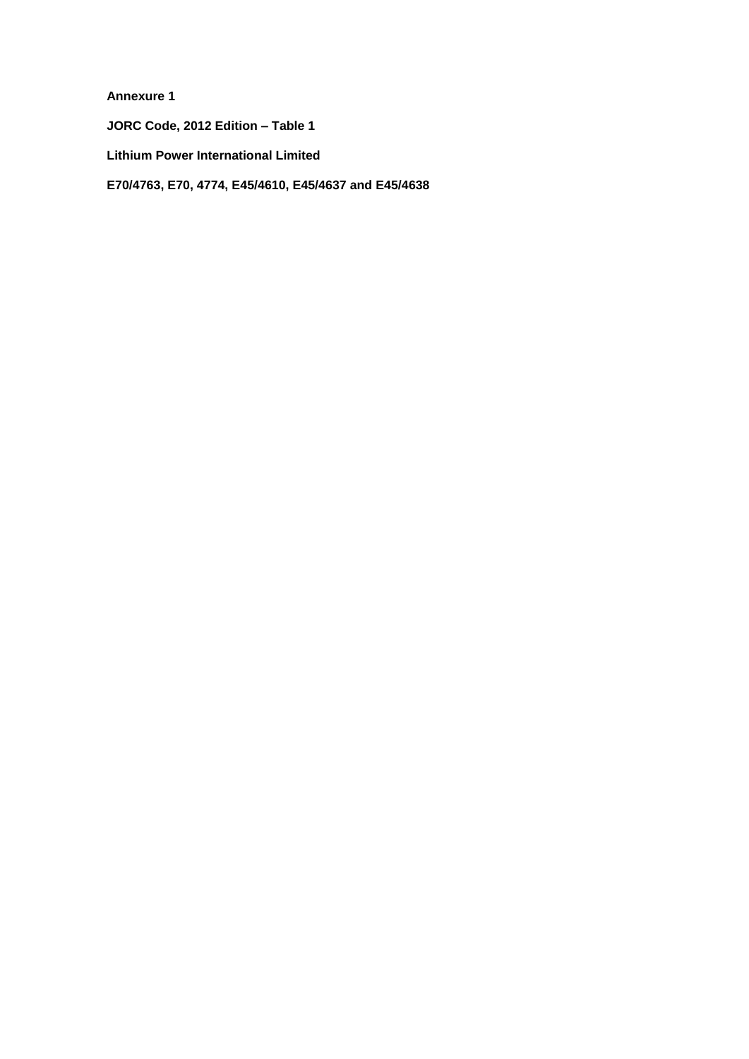**Annexure 1**

**JORC Code, 2012 Edition – Table 1**

**Lithium Power International Limited**

**E70/4763, E70, 4774, E45/4610, E45/4637 and E45/4638**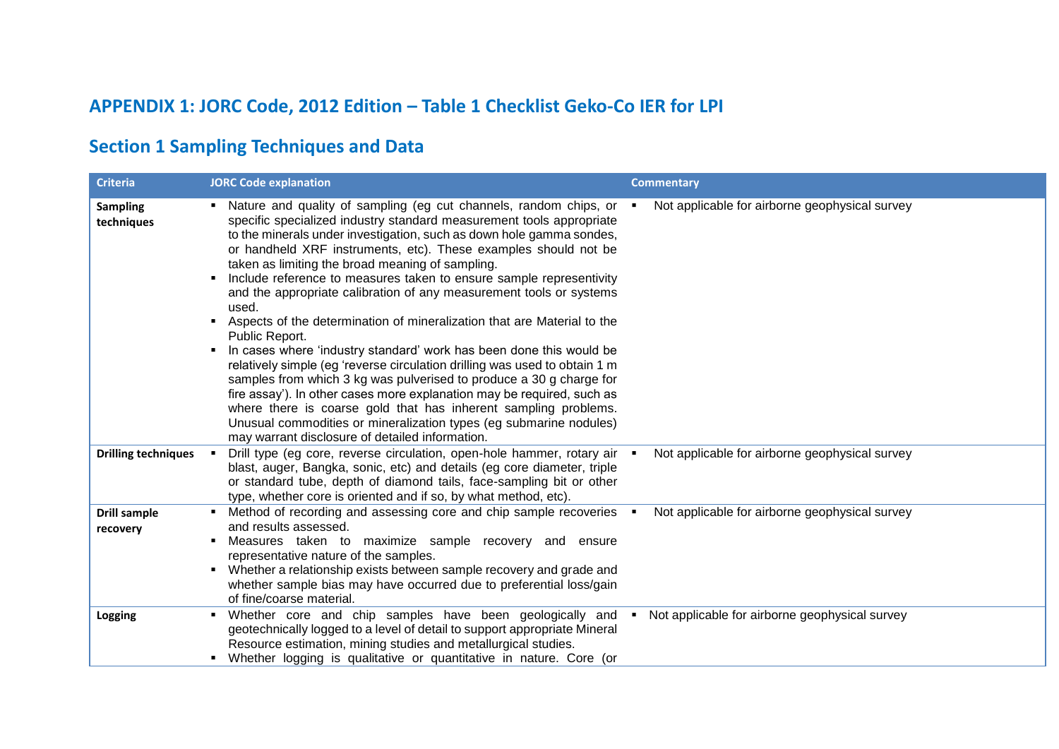# **APPENDIX 1: JORC Code, 2012 Edition – Table 1 Checklist Geko-Co IER for LPI**

## **Section 1 Sampling Techniques and Data**

| <b>Criteria</b>                 | <b>JORC Code explanation</b>                                                                                                                                                                                                                                                                                                                                                                                                                                                                                                                                                                                                                                                                                                                                                                                                                                                                                                                                                                                                                                                                       | <b>Commentary</b>                              |
|---------------------------------|----------------------------------------------------------------------------------------------------------------------------------------------------------------------------------------------------------------------------------------------------------------------------------------------------------------------------------------------------------------------------------------------------------------------------------------------------------------------------------------------------------------------------------------------------------------------------------------------------------------------------------------------------------------------------------------------------------------------------------------------------------------------------------------------------------------------------------------------------------------------------------------------------------------------------------------------------------------------------------------------------------------------------------------------------------------------------------------------------|------------------------------------------------|
| <b>Sampling</b><br>techniques   | • Nature and quality of sampling (eg cut channels, random chips, or •<br>specific specialized industry standard measurement tools appropriate<br>to the minerals under investigation, such as down hole gamma sondes,<br>or handheld XRF instruments, etc). These examples should not be<br>taken as limiting the broad meaning of sampling.<br>Include reference to measures taken to ensure sample representivity<br>and the appropriate calibration of any measurement tools or systems<br>used.<br>Aspects of the determination of mineralization that are Material to the<br>Public Report.<br>In cases where 'industry standard' work has been done this would be<br>relatively simple (eg 'reverse circulation drilling was used to obtain 1 m<br>samples from which 3 kg was pulverised to produce a 30 g charge for<br>fire assay'). In other cases more explanation may be required, such as<br>where there is coarse gold that has inherent sampling problems.<br>Unusual commodities or mineralization types (eg submarine nodules)<br>may warrant disclosure of detailed information. | Not applicable for airborne geophysical survey |
| <b>Drilling techniques</b>      | Drill type (eg core, reverse circulation, open-hole hammer, rotary air .<br>blast, auger, Bangka, sonic, etc) and details (eg core diameter, triple<br>or standard tube, depth of diamond tails, face-sampling bit or other<br>type, whether core is oriented and if so, by what method, etc).                                                                                                                                                                                                                                                                                                                                                                                                                                                                                                                                                                                                                                                                                                                                                                                                     | Not applicable for airborne geophysical survey |
| <b>Drill sample</b><br>recovery | ■ Method of recording and assessing core and chip sample recoveries ■<br>and results assessed.<br>Measures taken to maximize sample recovery and ensure<br>representative nature of the samples.<br>Whether a relationship exists between sample recovery and grade and<br>whether sample bias may have occurred due to preferential loss/gain<br>of fine/coarse material.                                                                                                                                                                                                                                                                                                                                                                                                                                                                                                                                                                                                                                                                                                                         | Not applicable for airborne geophysical survey |
| Logging                         | Whether core and chip samples have been geologically and<br>geotechnically logged to a level of detail to support appropriate Mineral<br>Resource estimation, mining studies and metallurgical studies.<br>• Whether logging is qualitative or quantitative in nature. Core (or                                                                                                                                                                                                                                                                                                                                                                                                                                                                                                                                                                                                                                                                                                                                                                                                                    | Not applicable for airborne geophysical survey |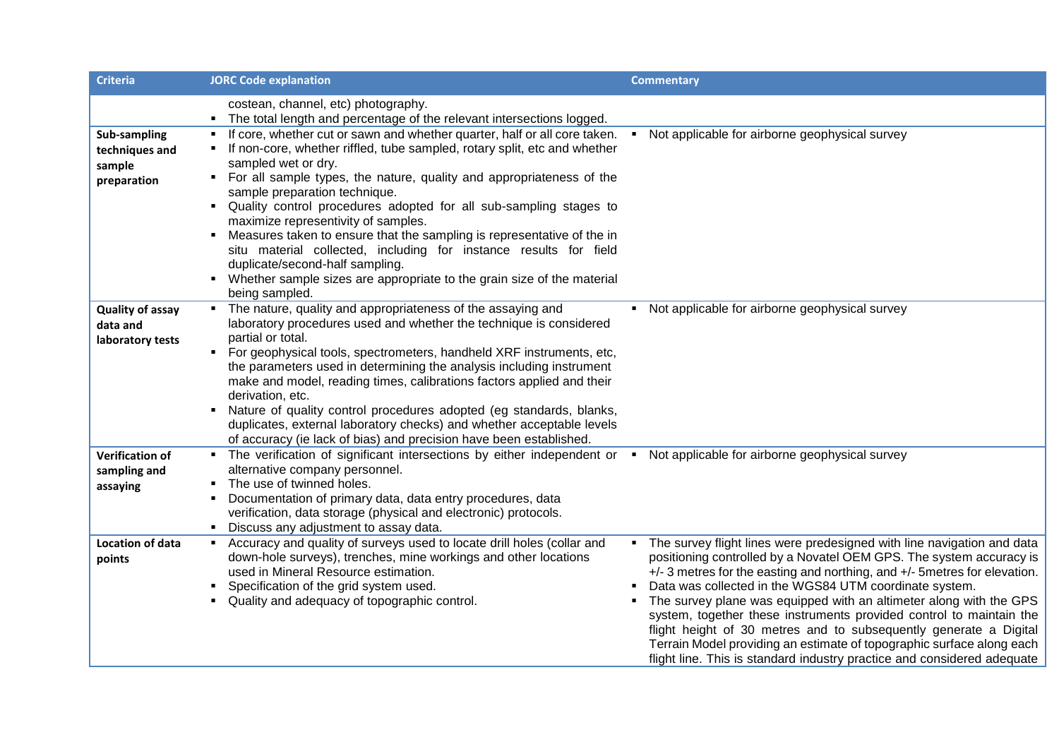| <b>Criteria</b>                                         | <b>JORC Code explanation</b>                                                                                                                                                                                                                                                                                                                                                                                                                                                                                                                                                                                                                                                       | <b>Commentary</b>                                                                                                                                                                                                                                                                                                                                                                                                                                                                                                                                                                                                                                                               |
|---------------------------------------------------------|------------------------------------------------------------------------------------------------------------------------------------------------------------------------------------------------------------------------------------------------------------------------------------------------------------------------------------------------------------------------------------------------------------------------------------------------------------------------------------------------------------------------------------------------------------------------------------------------------------------------------------------------------------------------------------|---------------------------------------------------------------------------------------------------------------------------------------------------------------------------------------------------------------------------------------------------------------------------------------------------------------------------------------------------------------------------------------------------------------------------------------------------------------------------------------------------------------------------------------------------------------------------------------------------------------------------------------------------------------------------------|
|                                                         | costean, channel, etc) photography.<br>The total length and percentage of the relevant intersections logged.                                                                                                                                                                                                                                                                                                                                                                                                                                                                                                                                                                       |                                                                                                                                                                                                                                                                                                                                                                                                                                                                                                                                                                                                                                                                                 |
| Sub-sampling<br>techniques and<br>sample<br>preparation | If core, whether cut or sawn and whether quarter, half or all core taken.<br>If non-core, whether riffled, tube sampled, rotary split, etc and whether<br>sampled wet or dry.<br>• For all sample types, the nature, quality and appropriateness of the<br>sample preparation technique.<br>Quality control procedures adopted for all sub-sampling stages to<br>maximize representivity of samples.<br>Measures taken to ensure that the sampling is representative of the in<br>situ material collected, including for instance results for field<br>duplicate/second-half sampling.<br>Whether sample sizes are appropriate to the grain size of the material<br>being sampled. | Not applicable for airborne geophysical survey<br>$\blacksquare$                                                                                                                                                                                                                                                                                                                                                                                                                                                                                                                                                                                                                |
| <b>Quality of assay</b><br>data and<br>laboratory tests | • The nature, quality and appropriateness of the assaying and<br>laboratory procedures used and whether the technique is considered<br>partial or total.<br>For geophysical tools, spectrometers, handheld XRF instruments, etc,<br>$\blacksquare$<br>the parameters used in determining the analysis including instrument<br>make and model, reading times, calibrations factors applied and their<br>derivation, etc.<br>• Nature of quality control procedures adopted (eg standards, blanks,<br>duplicates, external laboratory checks) and whether acceptable levels<br>of accuracy (ie lack of bias) and precision have been established.                                    | • Not applicable for airborne geophysical survey                                                                                                                                                                                                                                                                                                                                                                                                                                                                                                                                                                                                                                |
| <b>Verification of</b><br>sampling and<br>assaying      | • The verification of significant intersections by either independent or • Not applicable for airborne geophysical survey<br>alternative company personnel.<br>The use of twinned holes.<br>Documentation of primary data, data entry procedures, data<br>٠<br>verification, data storage (physical and electronic) protocols.<br>Discuss any adjustment to assay data.                                                                                                                                                                                                                                                                                                            |                                                                                                                                                                                                                                                                                                                                                                                                                                                                                                                                                                                                                                                                                 |
| Location of data<br>points                              | Accuracy and quality of surveys used to locate drill holes (collar and<br>٠.<br>down-hole surveys), trenches, mine workings and other locations<br>used in Mineral Resource estimation.<br>Specification of the grid system used.<br>Quality and adequacy of topographic control.                                                                                                                                                                                                                                                                                                                                                                                                  | The survey flight lines were predesigned with line navigation and data<br>$\blacksquare$ .<br>positioning controlled by a Novatel OEM GPS. The system accuracy is<br>+/- 3 metres for the easting and northing, and +/- 5 metres for elevation.<br>Data was collected in the WGS84 UTM coordinate system.<br>The survey plane was equipped with an altimeter along with the GPS<br>system, together these instruments provided control to maintain the<br>flight height of 30 metres and to subsequently generate a Digital<br>Terrain Model providing an estimate of topographic surface along each<br>flight line. This is standard industry practice and considered adequate |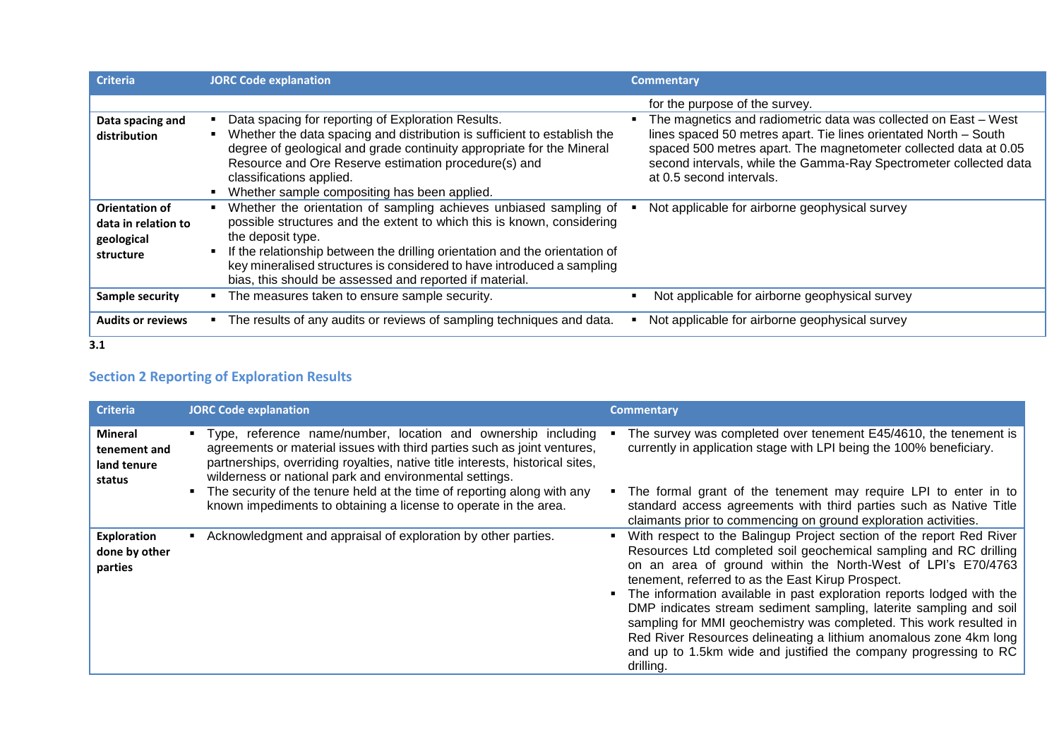| <b>Criteria</b>                                                         | <b>JORC Code explanation</b>                                                                                                                                                                                                                                                                                                                                                         | <b>Commentary</b>                                                                                                                                                                                                                                                                                                                          |
|-------------------------------------------------------------------------|--------------------------------------------------------------------------------------------------------------------------------------------------------------------------------------------------------------------------------------------------------------------------------------------------------------------------------------------------------------------------------------|--------------------------------------------------------------------------------------------------------------------------------------------------------------------------------------------------------------------------------------------------------------------------------------------------------------------------------------------|
| Data spacing and<br>distribution                                        | Data spacing for reporting of Exploration Results.<br>Whether the data spacing and distribution is sufficient to establish the<br>degree of geological and grade continuity appropriate for the Mineral<br>Resource and Ore Reserve estimation procedure(s) and<br>classifications applied.<br>Whether sample compositing has been applied.                                          | for the purpose of the survey.<br>The magnetics and radiometric data was collected on East - West<br>lines spaced 50 metres apart. Tie lines orientated North - South<br>spaced 500 metres apart. The magnetometer collected data at 0.05<br>second intervals, while the Gamma-Ray Spectrometer collected data<br>at 0.5 second intervals. |
| <b>Orientation of</b><br>data in relation to<br>geological<br>structure | Whether the orientation of sampling achieves unbiased sampling of<br>possible structures and the extent to which this is known, considering<br>the deposit type.<br>If the relationship between the drilling orientation and the orientation of<br>key mineralised structures is considered to have introduced a sampling<br>bias, this should be assessed and reported if material. | Not applicable for airborne geophysical survey                                                                                                                                                                                                                                                                                             |
| <b>Sample security</b>                                                  | The measures taken to ensure sample security.                                                                                                                                                                                                                                                                                                                                        | Not applicable for airborne geophysical survey                                                                                                                                                                                                                                                                                             |
| <b>Audits or reviews</b>                                                | The results of any audits or reviews of sampling techniques and data.                                                                                                                                                                                                                                                                                                                | Not applicable for airborne geophysical survey                                                                                                                                                                                                                                                                                             |

**3.1**

### **Section 2 Reporting of Exploration Results**

| <b>Criteria</b>                                  | <b>JORC Code explanation</b>                                                                                                                                                                                                                                                            | <b>Commentary</b>                                                                                                                                                                                                                                                                                                                                                                                                                                                                                                                                                                                                                         |
|--------------------------------------------------|-----------------------------------------------------------------------------------------------------------------------------------------------------------------------------------------------------------------------------------------------------------------------------------------|-------------------------------------------------------------------------------------------------------------------------------------------------------------------------------------------------------------------------------------------------------------------------------------------------------------------------------------------------------------------------------------------------------------------------------------------------------------------------------------------------------------------------------------------------------------------------------------------------------------------------------------------|
| Mineral<br>tenement and<br>land tenure<br>status | " Type, reference name/number, location and ownership including<br>agreements or material issues with third parties such as joint ventures,<br>partnerships, overriding royalties, native title interests, historical sites,<br>wilderness or national park and environmental settings. | The survey was completed over tenement E45/4610, the tenement is<br>currently in application stage with LPI being the 100% beneficiary.                                                                                                                                                                                                                                                                                                                                                                                                                                                                                                   |
|                                                  | The security of the tenure held at the time of reporting along with any<br>known impediments to obtaining a license to operate in the area.                                                                                                                                             | The formal grant of the tenement may require LPI to enter in to<br>standard access agreements with third parties such as Native Title<br>claimants prior to commencing on ground exploration activities.                                                                                                                                                                                                                                                                                                                                                                                                                                  |
| Exploration<br>done by other<br>parties          | Acknowledgment and appraisal of exploration by other parties.                                                                                                                                                                                                                           | With respect to the Balingup Project section of the report Red River<br>Resources Ltd completed soil geochemical sampling and RC drilling<br>on an area of ground within the North-West of LPI's E70/4763<br>tenement, referred to as the East Kirup Prospect.<br>The information available in past exploration reports lodged with the<br>DMP indicates stream sediment sampling, laterite sampling and soil<br>sampling for MMI geochemistry was completed. This work resulted in<br>Red River Resources delineating a lithium anomalous zone 4km long<br>and up to 1.5km wide and justified the company progressing to RC<br>drilling. |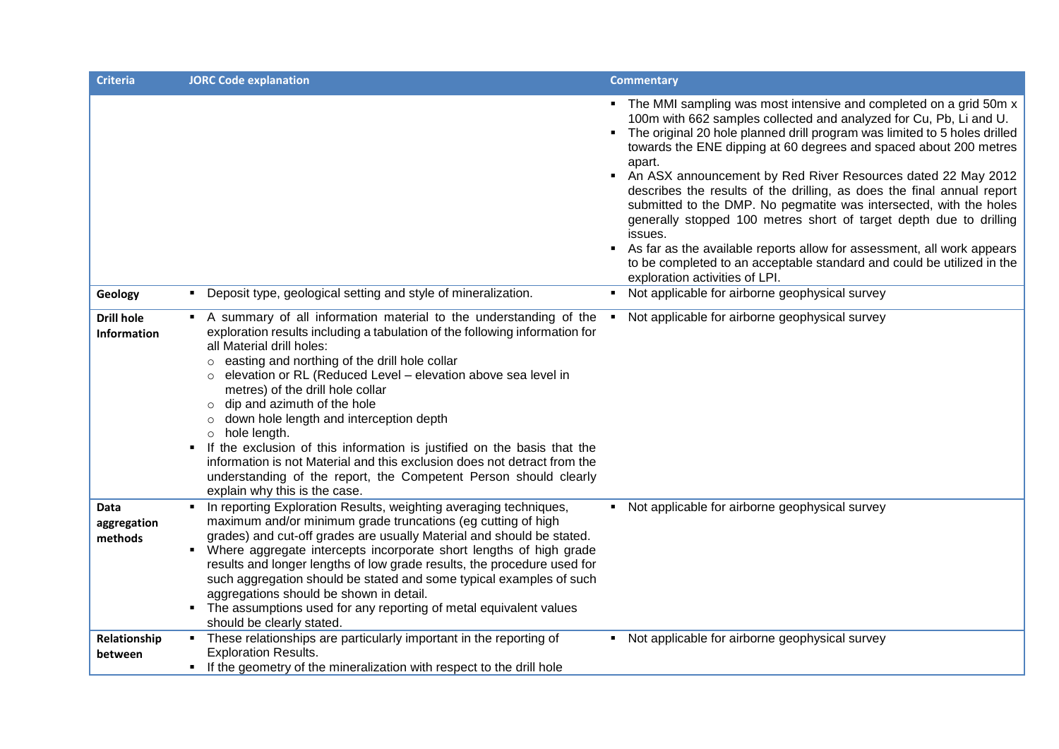| <b>Criteria</b>                | <b>JORC Code explanation</b>                                                                                                                                                                                                                                                                                                                                                                                                                                                                                                                                                                                                                                            | <b>Commentary</b>                                                                                                                                                                                                                                                                                                                                                                                                                                                                                                                                                                                                                                                                                                                                                                                                                                  |
|--------------------------------|-------------------------------------------------------------------------------------------------------------------------------------------------------------------------------------------------------------------------------------------------------------------------------------------------------------------------------------------------------------------------------------------------------------------------------------------------------------------------------------------------------------------------------------------------------------------------------------------------------------------------------------------------------------------------|----------------------------------------------------------------------------------------------------------------------------------------------------------------------------------------------------------------------------------------------------------------------------------------------------------------------------------------------------------------------------------------------------------------------------------------------------------------------------------------------------------------------------------------------------------------------------------------------------------------------------------------------------------------------------------------------------------------------------------------------------------------------------------------------------------------------------------------------------|
| Geology                        | • Deposit type, geological setting and style of mineralization.                                                                                                                                                                                                                                                                                                                                                                                                                                                                                                                                                                                                         | • The MMI sampling was most intensive and completed on a grid 50m x<br>100m with 662 samples collected and analyzed for Cu, Pb, Li and U.<br>• The original 20 hole planned drill program was limited to 5 holes drilled<br>towards the ENE dipping at 60 degrees and spaced about 200 metres<br>apart.<br>An ASX announcement by Red River Resources dated 22 May 2012<br>describes the results of the drilling, as does the final annual report<br>submitted to the DMP. No pegmatite was intersected, with the holes<br>generally stopped 100 metres short of target depth due to drilling<br>issues.<br>As far as the available reports allow for assessment, all work appears<br>to be completed to an acceptable standard and could be utilized in the<br>exploration activities of LPI.<br>• Not applicable for airborne geophysical survey |
| <b>Drill hole</b>              | • A summary of all information material to the understanding of the                                                                                                                                                                                                                                                                                                                                                                                                                                                                                                                                                                                                     | Not applicable for airborne geophysical survey                                                                                                                                                                                                                                                                                                                                                                                                                                                                                                                                                                                                                                                                                                                                                                                                     |
| <b>Information</b>             | exploration results including a tabulation of the following information for<br>all Material drill holes:<br>easting and northing of the drill hole collar<br>$\circ$<br>elevation or RL (Reduced Level - elevation above sea level in<br>metres) of the drill hole collar<br>dip and azimuth of the hole<br>down hole length and interception depth<br>$\circ$<br>hole length.<br>$\circ$<br>If the exclusion of this information is justified on the basis that the<br>$\blacksquare$<br>information is not Material and this exclusion does not detract from the<br>understanding of the report, the Competent Person should clearly<br>explain why this is the case. |                                                                                                                                                                                                                                                                                                                                                                                                                                                                                                                                                                                                                                                                                                                                                                                                                                                    |
| Data<br>aggregation<br>methods | • In reporting Exploration Results, weighting averaging techniques,<br>maximum and/or minimum grade truncations (eg cutting of high<br>grades) and cut-off grades are usually Material and should be stated.<br>• Where aggregate intercepts incorporate short lengths of high grade<br>results and longer lengths of low grade results, the procedure used for<br>such aggregation should be stated and some typical examples of such<br>aggregations should be shown in detail.<br>• The assumptions used for any reporting of metal equivalent values<br>should be clearly stated.                                                                                   | • Not applicable for airborne geophysical survey                                                                                                                                                                                                                                                                                                                                                                                                                                                                                                                                                                                                                                                                                                                                                                                                   |
| Relationship<br>between        | • These relationships are particularly important in the reporting of<br><b>Exploration Results.</b><br>• If the geometry of the mineralization with respect to the drill hole                                                                                                                                                                                                                                                                                                                                                                                                                                                                                           | • Not applicable for airborne geophysical survey                                                                                                                                                                                                                                                                                                                                                                                                                                                                                                                                                                                                                                                                                                                                                                                                   |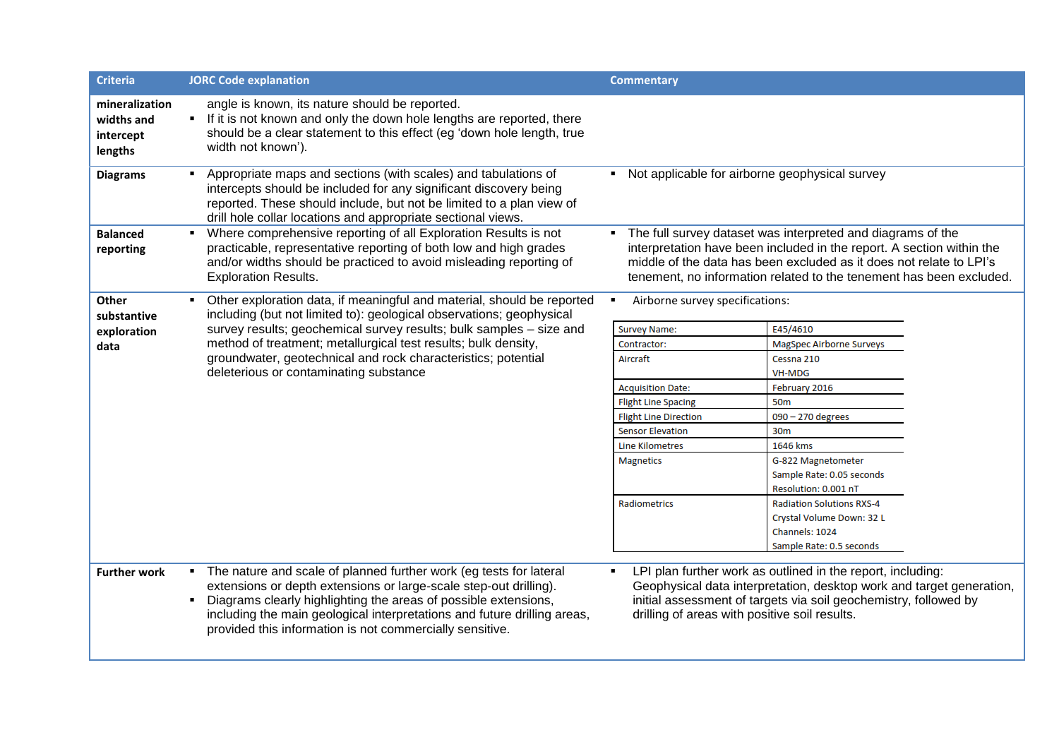| <b>Criteria</b>                                      | <b>JORC Code explanation</b>                                                                                                                                                                                                                                                                                                                         | <b>Commentary</b>                                   |                                                                                                                                                                                                                                                                                    |
|------------------------------------------------------|------------------------------------------------------------------------------------------------------------------------------------------------------------------------------------------------------------------------------------------------------------------------------------------------------------------------------------------------------|-----------------------------------------------------|------------------------------------------------------------------------------------------------------------------------------------------------------------------------------------------------------------------------------------------------------------------------------------|
| mineralization<br>widths and<br>intercept<br>lengths | angle is known, its nature should be reported.<br>• If it is not known and only the down hole lengths are reported, there<br>should be a clear statement to this effect (eg 'down hole length, true<br>width not known').                                                                                                                            |                                                     |                                                                                                                                                                                                                                                                                    |
| <b>Diagrams</b>                                      | Appropriate maps and sections (with scales) and tabulations of<br>intercepts should be included for any significant discovery being<br>reported. These should include, but not be limited to a plan view of<br>drill hole collar locations and appropriate sectional views.                                                                          | Not applicable for airborne geophysical survey<br>٠ |                                                                                                                                                                                                                                                                                    |
| <b>Balanced</b><br>reporting                         | • Where comprehensive reporting of all Exploration Results is not<br>practicable, representative reporting of both low and high grades<br>and/or widths should be practiced to avoid misleading reporting of<br><b>Exploration Results.</b>                                                                                                          |                                                     | The full survey dataset was interpreted and diagrams of the<br>interpretation have been included in the report. A section within the<br>middle of the data has been excluded as it does not relate to LPI's<br>tenement, no information related to the tenement has been excluded. |
| <b>Other</b><br>substantive                          | • Other exploration data, if meaningful and material, should be reported<br>including (but not limited to): geological observations; geophysical                                                                                                                                                                                                     | Airborne survey specifications:                     |                                                                                                                                                                                                                                                                                    |
| exploration                                          | survey results; geochemical survey results; bulk samples - size and                                                                                                                                                                                                                                                                                  | <b>Survey Name:</b>                                 | E45/4610                                                                                                                                                                                                                                                                           |
| data                                                 | method of treatment; metallurgical test results; bulk density,                                                                                                                                                                                                                                                                                       | Contractor:                                         | <b>MagSpec Airborne Surveys</b>                                                                                                                                                                                                                                                    |
|                                                      | groundwater, geotechnical and rock characteristics; potential                                                                                                                                                                                                                                                                                        | Aircraft                                            | Cessna 210                                                                                                                                                                                                                                                                         |
|                                                      | deleterious or contaminating substance                                                                                                                                                                                                                                                                                                               |                                                     | <b>VH-MDG</b>                                                                                                                                                                                                                                                                      |
|                                                      |                                                                                                                                                                                                                                                                                                                                                      | <b>Acquisition Date:</b>                            | February 2016                                                                                                                                                                                                                                                                      |
|                                                      |                                                                                                                                                                                                                                                                                                                                                      | <b>Flight Line Spacing</b>                          | <b>50m</b>                                                                                                                                                                                                                                                                         |
|                                                      |                                                                                                                                                                                                                                                                                                                                                      | <b>Flight Line Direction</b>                        | 090 - 270 degrees                                                                                                                                                                                                                                                                  |
|                                                      |                                                                                                                                                                                                                                                                                                                                                      | <b>Sensor Elevation</b>                             | 30m                                                                                                                                                                                                                                                                                |
|                                                      |                                                                                                                                                                                                                                                                                                                                                      | <b>Line Kilometres</b>                              | 1646 kms                                                                                                                                                                                                                                                                           |
|                                                      |                                                                                                                                                                                                                                                                                                                                                      | <b>Magnetics</b>                                    | G-822 Magnetometer                                                                                                                                                                                                                                                                 |
|                                                      |                                                                                                                                                                                                                                                                                                                                                      |                                                     | Sample Rate: 0.05 seconds                                                                                                                                                                                                                                                          |
|                                                      |                                                                                                                                                                                                                                                                                                                                                      |                                                     | Resolution: 0.001 nT                                                                                                                                                                                                                                                               |
|                                                      |                                                                                                                                                                                                                                                                                                                                                      | Radiometrics                                        | <b>Radiation Solutions RXS-4</b>                                                                                                                                                                                                                                                   |
|                                                      |                                                                                                                                                                                                                                                                                                                                                      |                                                     | Crystal Volume Down: 32 L                                                                                                                                                                                                                                                          |
|                                                      |                                                                                                                                                                                                                                                                                                                                                      |                                                     | Channels: 1024                                                                                                                                                                                                                                                                     |
|                                                      |                                                                                                                                                                                                                                                                                                                                                      |                                                     | Sample Rate: 0.5 seconds                                                                                                                                                                                                                                                           |
| <b>Further work</b>                                  | • The nature and scale of planned further work (eg tests for lateral<br>extensions or depth extensions or large-scale step-out drilling).<br>Diagrams clearly highlighting the areas of possible extensions,<br>including the main geological interpretations and future drilling areas,<br>provided this information is not commercially sensitive. | drilling of areas with positive soil results.       | LPI plan further work as outlined in the report, including:<br>Geophysical data interpretation, desktop work and target generation,<br>initial assessment of targets via soil geochemistry, followed by                                                                            |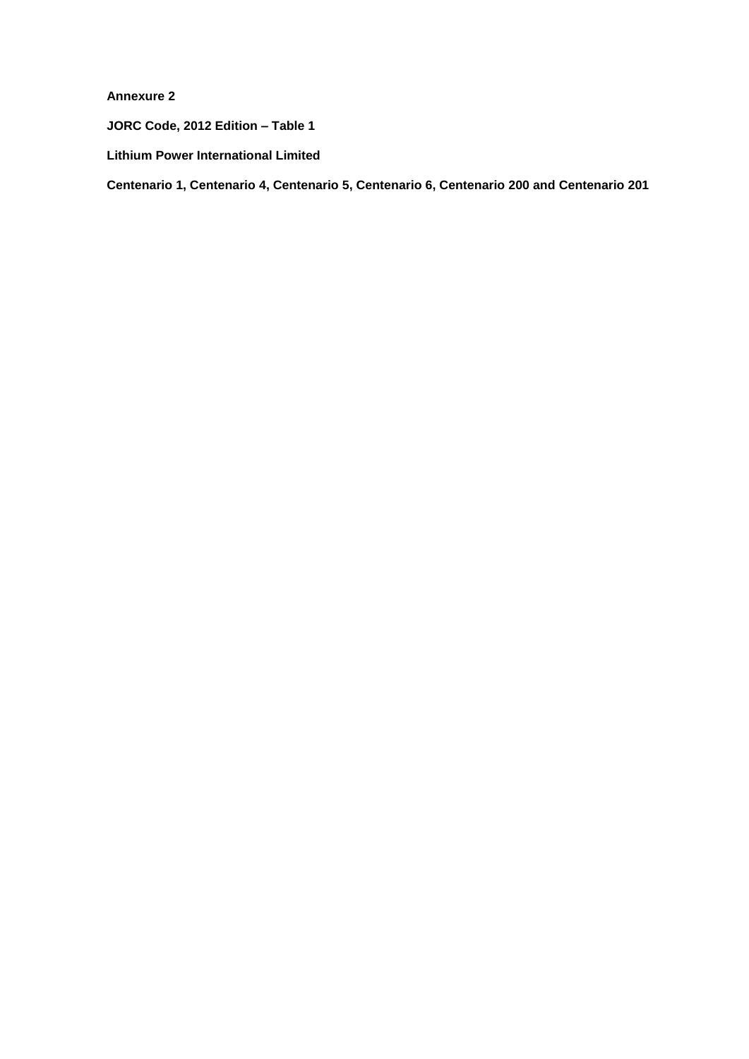**Annexure 2**

**JORC Code, 2012 Edition – Table 1**

**Lithium Power International Limited**

**Centenario 1, Centenario 4, Centenario 5, Centenario 6, Centenario 200 and Centenario 201**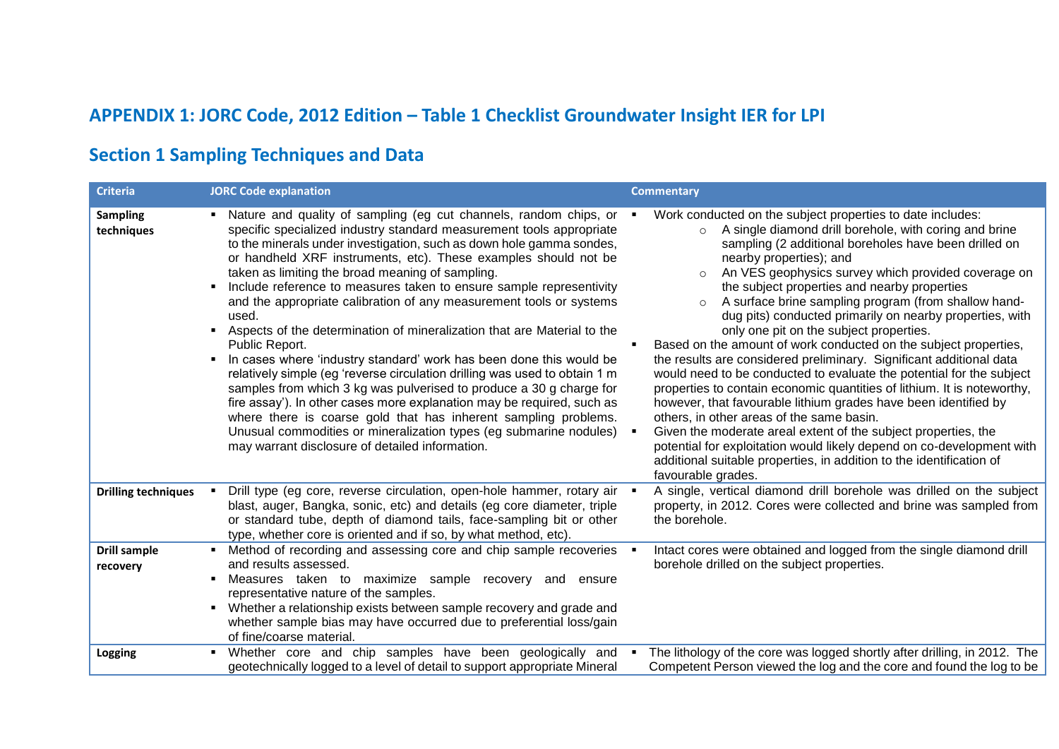# **APPENDIX 1: JORC Code, 2012 Edition – Table 1 Checklist Groundwater Insight IER for LPI**

## **Section 1 Sampling Techniques and Data**

| <b>Criteria</b>                 | <b>JORC Code explanation</b>                                                                                                                                                                                                                                                                                                                                                                                                                                                                                                                                                                                                                                                                                                                                                                                                                                                                                                                                                                                                                                                                   | <b>Commentary</b>                                                                                                                                                                                                                                                                                                                                                                                                                                                                                                                                                                                                                                                                                                                                                                                                                                                                                                                                                                                                                                                                                                                                                      |
|---------------------------------|------------------------------------------------------------------------------------------------------------------------------------------------------------------------------------------------------------------------------------------------------------------------------------------------------------------------------------------------------------------------------------------------------------------------------------------------------------------------------------------------------------------------------------------------------------------------------------------------------------------------------------------------------------------------------------------------------------------------------------------------------------------------------------------------------------------------------------------------------------------------------------------------------------------------------------------------------------------------------------------------------------------------------------------------------------------------------------------------|------------------------------------------------------------------------------------------------------------------------------------------------------------------------------------------------------------------------------------------------------------------------------------------------------------------------------------------------------------------------------------------------------------------------------------------------------------------------------------------------------------------------------------------------------------------------------------------------------------------------------------------------------------------------------------------------------------------------------------------------------------------------------------------------------------------------------------------------------------------------------------------------------------------------------------------------------------------------------------------------------------------------------------------------------------------------------------------------------------------------------------------------------------------------|
| <b>Sampling</b><br>techniques   | Nature and quality of sampling (eg cut channels, random chips, or<br>specific specialized industry standard measurement tools appropriate<br>to the minerals under investigation, such as down hole gamma sondes,<br>or handheld XRF instruments, etc). These examples should not be<br>taken as limiting the broad meaning of sampling.<br>Include reference to measures taken to ensure sample representivity<br>and the appropriate calibration of any measurement tools or systems<br>used.<br>Aspects of the determination of mineralization that are Material to the<br>Public Report.<br>In cases where 'industry standard' work has been done this would be<br>relatively simple (eg 'reverse circulation drilling was used to obtain 1 m<br>samples from which 3 kg was pulverised to produce a 30 g charge for<br>fire assay'). In other cases more explanation may be required, such as<br>where there is coarse gold that has inherent sampling problems.<br>Unusual commodities or mineralization types (eg submarine nodules)<br>may warrant disclosure of detailed information. | Work conducted on the subject properties to date includes:<br>A single diamond drill borehole, with coring and brine<br>$\circ$<br>sampling (2 additional boreholes have been drilled on<br>nearby properties); and<br>An VES geophysics survey which provided coverage on<br>$\circ$<br>the subject properties and nearby properties<br>A surface brine sampling program (from shallow hand-<br>$\circ$<br>dug pits) conducted primarily on nearby properties, with<br>only one pit on the subject properties.<br>Based on the amount of work conducted on the subject properties,<br>the results are considered preliminary. Significant additional data<br>would need to be conducted to evaluate the potential for the subject<br>properties to contain economic quantities of lithium. It is noteworthy,<br>however, that favourable lithium grades have been identified by<br>others, in other areas of the same basin.<br>Given the moderate areal extent of the subject properties, the<br>potential for exploitation would likely depend on co-development with<br>additional suitable properties, in addition to the identification of<br>favourable grades. |
| <b>Drilling techniques</b>      | Drill type (eg core, reverse circulation, open-hole hammer, rotary air .<br>blast, auger, Bangka, sonic, etc) and details (eg core diameter, triple<br>or standard tube, depth of diamond tails, face-sampling bit or other<br>type, whether core is oriented and if so, by what method, etc).                                                                                                                                                                                                                                                                                                                                                                                                                                                                                                                                                                                                                                                                                                                                                                                                 | A single, vertical diamond drill borehole was drilled on the subject<br>property, in 2012. Cores were collected and brine was sampled from<br>the borehole.                                                                                                                                                                                                                                                                                                                                                                                                                                                                                                                                                                                                                                                                                                                                                                                                                                                                                                                                                                                                            |
| <b>Drill sample</b><br>recovery | Method of recording and assessing core and chip sample recoveries<br>and results assessed.<br>Measures taken to maximize sample recovery and<br>ensure<br>representative nature of the samples.<br>Whether a relationship exists between sample recovery and grade and<br>whether sample bias may have occurred due to preferential loss/gain<br>of fine/coarse material.                                                                                                                                                                                                                                                                                                                                                                                                                                                                                                                                                                                                                                                                                                                      | Intact cores were obtained and logged from the single diamond drill<br>borehole drilled on the subject properties.                                                                                                                                                                                                                                                                                                                                                                                                                                                                                                                                                                                                                                                                                                                                                                                                                                                                                                                                                                                                                                                     |
| <b>Logging</b>                  | . Whether core and chip samples have been geologically and<br>geotechnically logged to a level of detail to support appropriate Mineral                                                                                                                                                                                                                                                                                                                                                                                                                                                                                                                                                                                                                                                                                                                                                                                                                                                                                                                                                        | The lithology of the core was logged shortly after drilling, in 2012. The<br>Competent Person viewed the log and the core and found the log to be                                                                                                                                                                                                                                                                                                                                                                                                                                                                                                                                                                                                                                                                                                                                                                                                                                                                                                                                                                                                                      |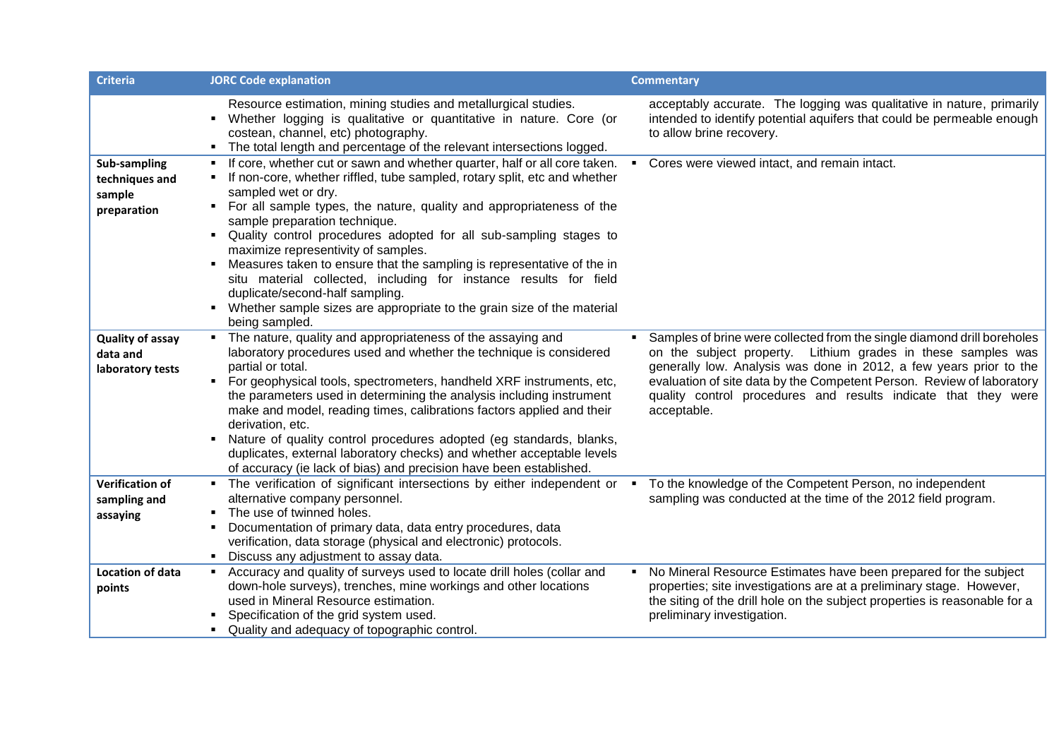| <b>Criteria</b>                                                | <b>JORC Code explanation</b>                                                                                                                                                                                                                                                                                                                                                                                                                                                                                                                                                                                                                                                       | <b>Commentary</b>                                                                                                                                                                                                                                                                                                                                                       |
|----------------------------------------------------------------|------------------------------------------------------------------------------------------------------------------------------------------------------------------------------------------------------------------------------------------------------------------------------------------------------------------------------------------------------------------------------------------------------------------------------------------------------------------------------------------------------------------------------------------------------------------------------------------------------------------------------------------------------------------------------------|-------------------------------------------------------------------------------------------------------------------------------------------------------------------------------------------------------------------------------------------------------------------------------------------------------------------------------------------------------------------------|
|                                                                | Resource estimation, mining studies and metallurgical studies.<br>Whether logging is qualitative or quantitative in nature. Core (or<br>costean, channel, etc) photography.<br>The total length and percentage of the relevant intersections logged.                                                                                                                                                                                                                                                                                                                                                                                                                               | acceptably accurate. The logging was qualitative in nature, primarily<br>intended to identify potential aquifers that could be permeable enough<br>to allow brine recovery.                                                                                                                                                                                             |
| <b>Sub-sampling</b><br>techniques and<br>sample<br>preparation | If core, whether cut or sawn and whether quarter, half or all core taken.<br>If non-core, whether riffled, tube sampled, rotary split, etc and whether<br>sampled wet or dry.<br>For all sample types, the nature, quality and appropriateness of the<br>sample preparation technique.<br>Quality control procedures adopted for all sub-sampling stages to<br>maximize representivity of samples.<br>• Measures taken to ensure that the sampling is representative of the in<br>situ material collected, including for instance results for field<br>duplicate/second-half sampling.<br>Whether sample sizes are appropriate to the grain size of the material<br>being sampled. | Cores were viewed intact, and remain intact.<br>$\blacksquare$                                                                                                                                                                                                                                                                                                          |
| <b>Quality of assay</b><br>data and<br>laboratory tests        | The nature, quality and appropriateness of the assaying and<br>laboratory procedures used and whether the technique is considered<br>partial or total.<br>For geophysical tools, spectrometers, handheld XRF instruments, etc,<br>the parameters used in determining the analysis including instrument<br>make and model, reading times, calibrations factors applied and their<br>derivation, etc.<br>Nature of quality control procedures adopted (eg standards, blanks,<br>duplicates, external laboratory checks) and whether acceptable levels<br>of accuracy (ie lack of bias) and precision have been established.                                                          | Samples of brine were collected from the single diamond drill boreholes<br>on the subject property. Lithium grades in these samples was<br>generally low. Analysis was done in 2012, a few years prior to the<br>evaluation of site data by the Competent Person. Review of laboratory<br>quality control procedures and results indicate that they were<br>acceptable. |
| <b>Verification of</b><br>sampling and<br>assaying             | • The verification of significant intersections by either independent or •<br>alternative company personnel.<br>The use of twinned holes.<br>Documentation of primary data, data entry procedures, data<br>verification, data storage (physical and electronic) protocols.<br>Discuss any adjustment to assay data.                                                                                                                                                                                                                                                                                                                                                                | To the knowledge of the Competent Person, no independent<br>sampling was conducted at the time of the 2012 field program.                                                                                                                                                                                                                                               |
| Location of data<br>points                                     | Accuracy and quality of surveys used to locate drill holes (collar and<br>down-hole surveys), trenches, mine workings and other locations<br>used in Mineral Resource estimation.<br>Specification of the grid system used.<br>Quality and adequacy of topographic control.                                                                                                                                                                                                                                                                                                                                                                                                        | No Mineral Resource Estimates have been prepared for the subject<br>$\blacksquare$<br>properties; site investigations are at a preliminary stage. However,<br>the siting of the drill hole on the subject properties is reasonable for a<br>preliminary investigation.                                                                                                  |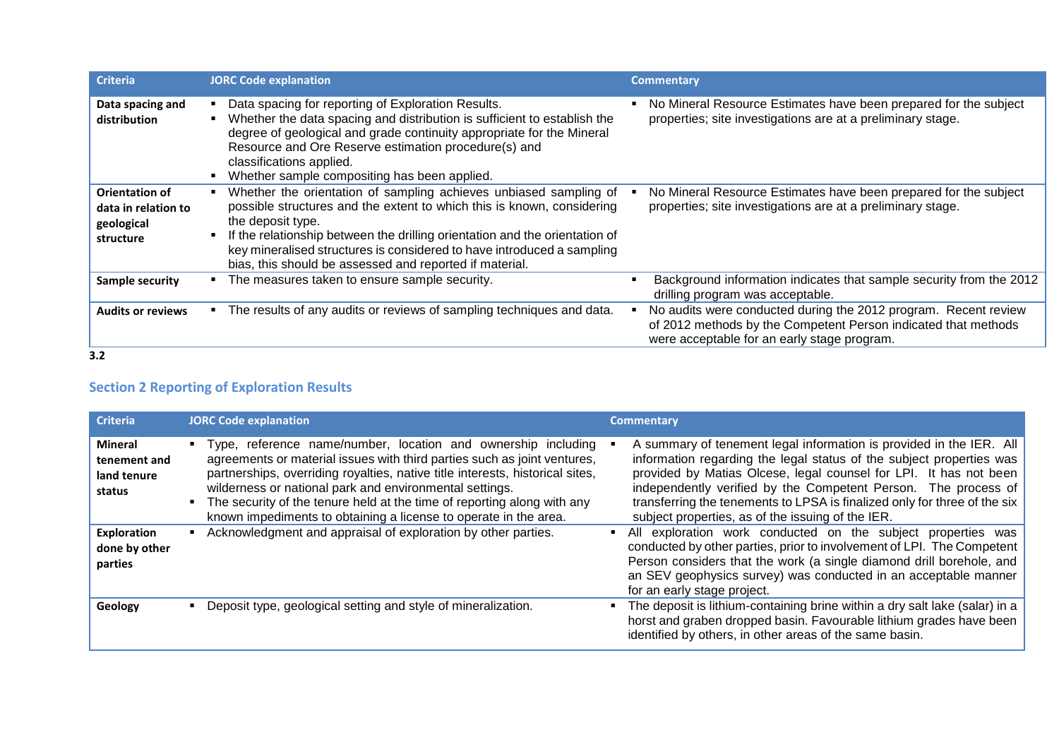| <b>Criteria</b>                                                  | <b>JORC Code explanation</b>                                                                                                                                                                                                                                                                                                                                                         | <b>Commentary</b>                                                                                                                                                                |
|------------------------------------------------------------------|--------------------------------------------------------------------------------------------------------------------------------------------------------------------------------------------------------------------------------------------------------------------------------------------------------------------------------------------------------------------------------------|----------------------------------------------------------------------------------------------------------------------------------------------------------------------------------|
| Data spacing and<br>distribution                                 | Data spacing for reporting of Exploration Results.<br>Whether the data spacing and distribution is sufficient to establish the<br>degree of geological and grade continuity appropriate for the Mineral<br>Resource and Ore Reserve estimation procedure(s) and<br>classifications applied.<br>Whether sample compositing has been applied.                                          | No Mineral Resource Estimates have been prepared for the subject<br>properties; site investigations are at a preliminary stage.                                                  |
| Orientation of<br>data in relation to<br>geological<br>structure | Whether the orientation of sampling achieves unbiased sampling of<br>possible structures and the extent to which this is known, considering<br>the deposit type.<br>If the relationship between the drilling orientation and the orientation of<br>key mineralised structures is considered to have introduced a sampling<br>bias, this should be assessed and reported if material. | No Mineral Resource Estimates have been prepared for the subject<br>properties; site investigations are at a preliminary stage.                                                  |
| <b>Sample security</b>                                           | The measures taken to ensure sample security.                                                                                                                                                                                                                                                                                                                                        | Background information indicates that sample security from the 2012<br>drilling program was acceptable.                                                                          |
| <b>Audits or reviews</b>                                         | The results of any audits or reviews of sampling techniques and data.                                                                                                                                                                                                                                                                                                                | No audits were conducted during the 2012 program. Recent review<br>of 2012 methods by the Competent Person indicated that methods<br>were acceptable for an early stage program. |
| 3.2                                                              |                                                                                                                                                                                                                                                                                                                                                                                      |                                                                                                                                                                                  |

### **Section 2 Reporting of Exploration Results**

| <b>Criteria</b>                                  | <b>JORC Code explanation</b>                                                                                                                                                                                                                                                                                                                                                                                                         | <b>Commentary</b>                                                                                                                                                                                                                                                                                                                                                                                                    |
|--------------------------------------------------|--------------------------------------------------------------------------------------------------------------------------------------------------------------------------------------------------------------------------------------------------------------------------------------------------------------------------------------------------------------------------------------------------------------------------------------|----------------------------------------------------------------------------------------------------------------------------------------------------------------------------------------------------------------------------------------------------------------------------------------------------------------------------------------------------------------------------------------------------------------------|
| Mineral<br>tenement and<br>land tenure<br>status | Type, reference name/number, location and ownership including<br>agreements or material issues with third parties such as joint ventures,<br>partnerships, overriding royalties, native title interests, historical sites,<br>wilderness or national park and environmental settings.<br>The security of the tenure held at the time of reporting along with any<br>known impediments to obtaining a license to operate in the area. | A summary of tenement legal information is provided in the IER. All<br>information regarding the legal status of the subject properties was<br>provided by Matias Olcese, legal counsel for LPI. It has not been<br>independently verified by the Competent Person. The process of<br>transferring the tenements to LPSA is finalized only for three of the six<br>subject properties, as of the issuing of the IER. |
| <b>Exploration</b><br>done by other<br>parties   | Acknowledgment and appraisal of exploration by other parties.                                                                                                                                                                                                                                                                                                                                                                        | All exploration work conducted on the subject properties was<br>conducted by other parties, prior to involvement of LPI. The Competent<br>Person considers that the work (a single diamond drill borehole, and<br>an SEV geophysics survey) was conducted in an acceptable manner<br>for an early stage project.                                                                                                     |
| Geology                                          | Deposit type, geological setting and style of mineralization.                                                                                                                                                                                                                                                                                                                                                                        | The deposit is lithium-containing brine within a dry salt lake (salar) in a<br>horst and graben dropped basin. Favourable lithium grades have been<br>identified by others, in other areas of the same basin.                                                                                                                                                                                                        |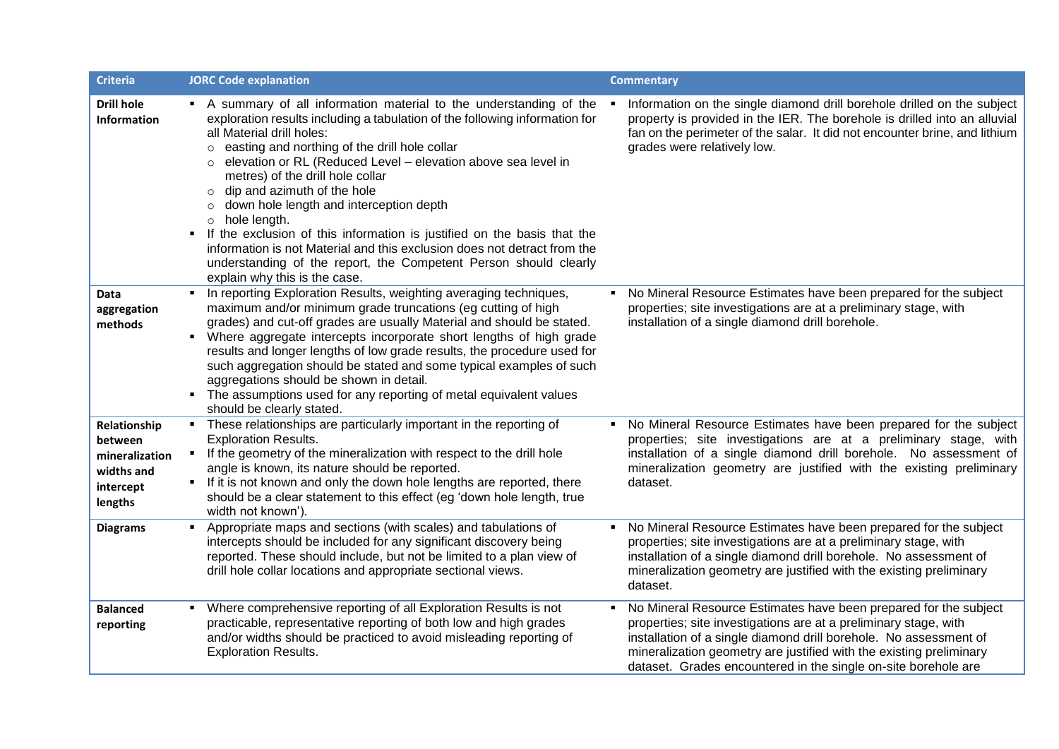| <b>Criteria</b>                                                                 | <b>JORC Code explanation</b>                                                                                                                                                                                                                                                                                                                                                                                                                                                                                                                                                                                                                                                                                                              | <b>Commentary</b>                                                                                                                                                                                                                                                                                                                                  |
|---------------------------------------------------------------------------------|-------------------------------------------------------------------------------------------------------------------------------------------------------------------------------------------------------------------------------------------------------------------------------------------------------------------------------------------------------------------------------------------------------------------------------------------------------------------------------------------------------------------------------------------------------------------------------------------------------------------------------------------------------------------------------------------------------------------------------------------|----------------------------------------------------------------------------------------------------------------------------------------------------------------------------------------------------------------------------------------------------------------------------------------------------------------------------------------------------|
| <b>Drill hole</b><br><b>Information</b>                                         | • A summary of all information material to the understanding of the<br>exploration results including a tabulation of the following information for<br>all Material drill holes:<br>easting and northing of the drill hole collar<br>$\circ$<br>elevation or RL (Reduced Level - elevation above sea level in<br>metres) of the drill hole collar<br>dip and azimuth of the hole<br>$\circ$<br>down hole length and interception depth<br>$\circ$<br>hole length.<br>$\circ$<br>• If the exclusion of this information is justified on the basis that the<br>information is not Material and this exclusion does not detract from the<br>understanding of the report, the Competent Person should clearly<br>explain why this is the case. | Information on the single diamond drill borehole drilled on the subject<br>property is provided in the IER. The borehole is drilled into an alluvial<br>fan on the perimeter of the salar. It did not encounter brine, and lithium<br>grades were relatively low.                                                                                  |
| <b>Data</b><br>aggregation<br>methods                                           | • In reporting Exploration Results, weighting averaging techniques,<br>maximum and/or minimum grade truncations (eg cutting of high<br>grades) and cut-off grades are usually Material and should be stated.<br>Where aggregate intercepts incorporate short lengths of high grade<br>results and longer lengths of low grade results, the procedure used for<br>such aggregation should be stated and some typical examples of such<br>aggregations should be shown in detail.<br>• The assumptions used for any reporting of metal equivalent values<br>should be clearly stated.                                                                                                                                                       | No Mineral Resource Estimates have been prepared for the subject<br>properties; site investigations are at a preliminary stage, with<br>installation of a single diamond drill borehole.                                                                                                                                                           |
| Relationship<br>between<br>mineralization<br>widths and<br>intercept<br>lengths | • These relationships are particularly important in the reporting of<br><b>Exploration Results.</b><br>• If the geometry of the mineralization with respect to the drill hole<br>angle is known, its nature should be reported.<br>• If it is not known and only the down hole lengths are reported, there<br>should be a clear statement to this effect (eg 'down hole length, true<br>width not known').                                                                                                                                                                                                                                                                                                                                | • No Mineral Resource Estimates have been prepared for the subject<br>properties; site investigations are at a preliminary stage, with<br>installation of a single diamond drill borehole. No assessment of<br>mineralization geometry are justified with the existing preliminary<br>dataset.                                                     |
| <b>Diagrams</b>                                                                 | Appropriate maps and sections (with scales) and tabulations of<br>$\blacksquare$<br>intercepts should be included for any significant discovery being<br>reported. These should include, but not be limited to a plan view of<br>drill hole collar locations and appropriate sectional views.                                                                                                                                                                                                                                                                                                                                                                                                                                             | No Mineral Resource Estimates have been prepared for the subject<br>properties; site investigations are at a preliminary stage, with<br>installation of a single diamond drill borehole. No assessment of<br>mineralization geometry are justified with the existing preliminary<br>dataset.                                                       |
| <b>Balanced</b><br>reporting                                                    | Where comprehensive reporting of all Exploration Results is not<br>practicable, representative reporting of both low and high grades<br>and/or widths should be practiced to avoid misleading reporting of<br><b>Exploration Results.</b>                                                                                                                                                                                                                                                                                                                                                                                                                                                                                                 | No Mineral Resource Estimates have been prepared for the subject<br>properties; site investigations are at a preliminary stage, with<br>installation of a single diamond drill borehole. No assessment of<br>mineralization geometry are justified with the existing preliminary<br>dataset. Grades encountered in the single on-site borehole are |